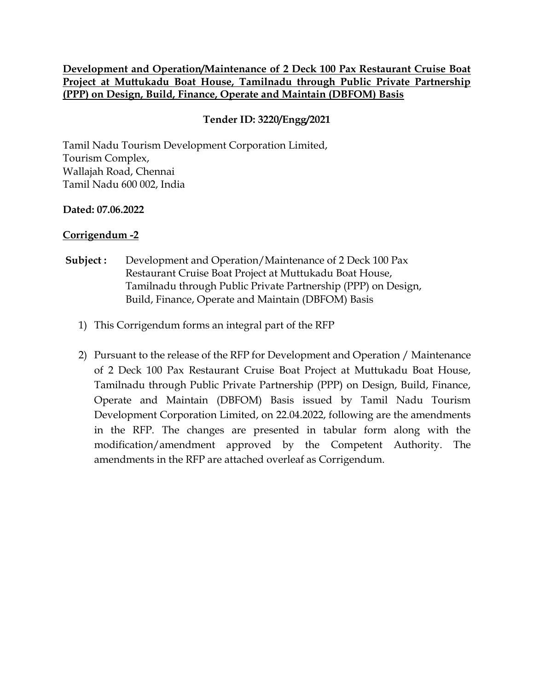#### **Development and Operation/Maintenance of 2 Deck 100 Pax Restaurant Cruise Boat Project at Muttukadu Boat House, Tamilnadu through Public Private Partnership (PPP) on Design, Build, Finance, Operate and Maintain (DBFOM) Basis**

### **Tender ID: 3220/Engg/2021**

Tamil Nadu Tourism Development Corporation Limited, Tourism Complex, Wallajah Road, Chennai Tamil Nadu 600 002, India

#### **Dated: 07.06.2022**

### **Corrigendum -2**

- **Subject :** Development and Operation/Maintenance of 2 Deck 100 Pax Restaurant Cruise Boat Project at Muttukadu Boat House, Tamilnadu through Public Private Partnership (PPP) on Design, Build, Finance, Operate and Maintain (DBFOM) Basis
	- 1) This Corrigendum forms an integral part of the RFP
	- 2) Pursuant to the release of the RFP for Development and Operation / Maintenance of 2 Deck 100 Pax Restaurant Cruise Boat Project at Muttukadu Boat House, Tamilnadu through Public Private Partnership (PPP) on Design, Build, Finance, Operate and Maintain (DBFOM) Basis issued by Tamil Nadu Tourism Development Corporation Limited, on 22.04.2022, following are the amendments in the RFP. The changes are presented in tabular form along with the modification/amendment approved by the Competent Authority. The amendments in the RFP are attached overleaf as Corrigendum.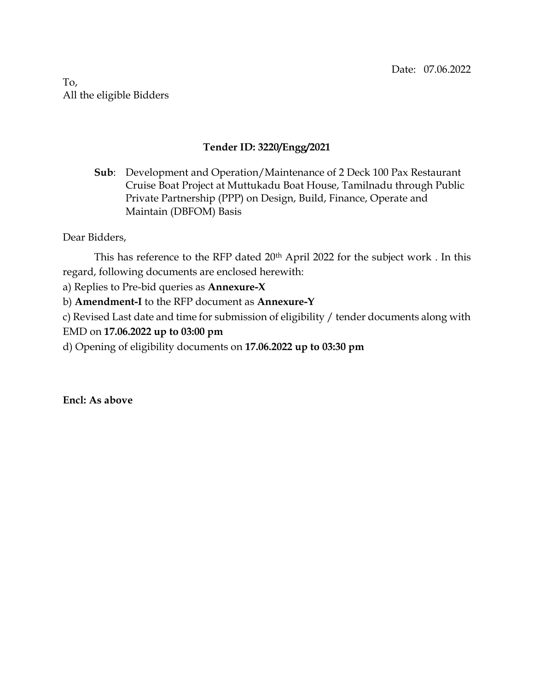To, All the eligible Bidders

#### **Tender ID: 3220/Engg/2021**

**Sub**: Development and Operation/Maintenance of 2 Deck 100 Pax Restaurant Cruise Boat Project at Muttukadu Boat House, Tamilnadu through Public Private Partnership (PPP) on Design, Build, Finance, Operate and Maintain (DBFOM) Basis

Dear Bidders,

This has reference to the RFP dated 20<sup>th</sup> April 2022 for the subject work. In this regard, following documents are enclosed herewith:

a) Replies to Pre-bid queries as **Annexure-X**

b) **Amendment-I** to the RFP document as **Annexure-Y**

c) Revised Last date and time for submission of eligibility / tender documents along with EMD on **17.06.2022 up to 03:00 pm**

d) Opening of eligibility documents on **17.06.2022 up to 03:30 pm**

**Encl: As above**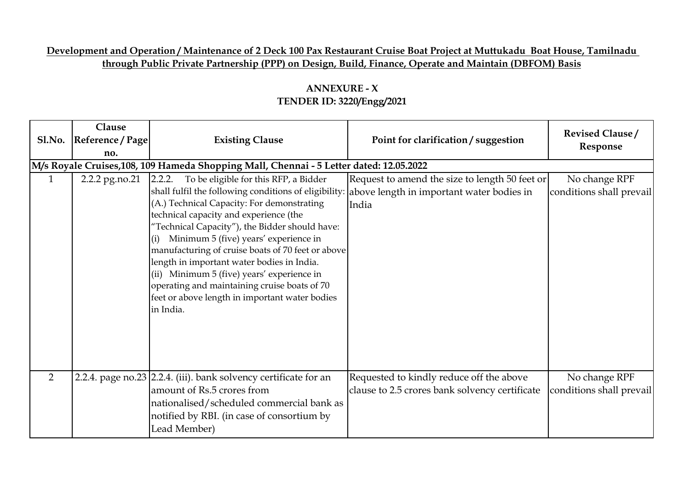### **Development and Operation / Maintenance of 2 Deck 100 Pax Restaurant Cruise Boat Project at Muttukadu Boat House, Tamilnadu through Public Private Partnership (PPP) on Design, Build, Finance, Operate and Maintain (DBFOM) Basis**

| Sl.No.         | Clause<br>Reference / Page<br>no. | <b>Existing Clause</b>                                                                                                                                                                                                                                                                                                                                                                                                                                                                                                                                             | Point for clarification / suggestion                                                                 | <b>Revised Clause/</b><br>Response        |
|----------------|-----------------------------------|--------------------------------------------------------------------------------------------------------------------------------------------------------------------------------------------------------------------------------------------------------------------------------------------------------------------------------------------------------------------------------------------------------------------------------------------------------------------------------------------------------------------------------------------------------------------|------------------------------------------------------------------------------------------------------|-------------------------------------------|
|                |                                   | M/s Royale Cruises,108, 109 Hameda Shopping Mall, Chennai - 5 Letter dated: 12.05.2022                                                                                                                                                                                                                                                                                                                                                                                                                                                                             |                                                                                                      |                                           |
| $\mathbf{1}$   | 2.2.2 pg.no.21                    | 2.2.2.<br>To be eligible for this RFP, a Bidder<br>shall fulfil the following conditions of eligibility:<br>(A.) Technical Capacity: For demonstrating<br>technical capacity and experience (the<br>"Technical Capacity"), the Bidder should have:<br>Minimum 5 (five) years' experience in<br>(i)<br>manufacturing of cruise boats of 70 feet or above<br>length in important water bodies in India.<br>(ii) Minimum 5 (five) years' experience in<br>operating and maintaining cruise boats of 70<br>feet or above length in important water bodies<br>in India. | Request to amend the size to length 50 feet or<br>above length in important water bodies in<br>India | No change RPF<br>conditions shall prevail |
| $\overline{2}$ |                                   | 2.2.4. page no.23 2.2.4. (iii). bank solvency certificate for an<br>amount of Rs.5 crores from<br>nationalised/scheduled commercial bank as<br>notified by RBI. (in case of consortium by<br>Lead Member)                                                                                                                                                                                                                                                                                                                                                          | Requested to kindly reduce off the above<br>clause to 2.5 crores bank solvency certificate           | No change RPF<br>conditions shall prevail |

## **ANNEXURE - X TENDER ID: 3220/Engg/2021**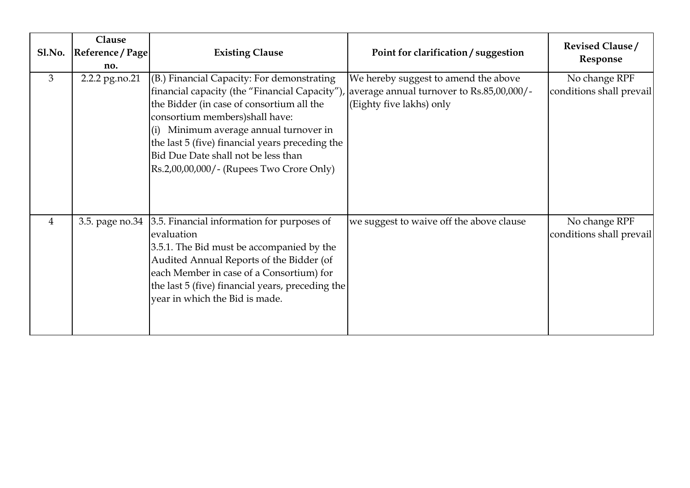| S1.No.         | Clause<br>Reference / Page<br>no. | <b>Existing Clause</b>                                                                                                                                                                                                                                                                                                                                     | Point for clarification / suggestion                                                                          | <b>Revised Clause/</b><br>Response        |
|----------------|-----------------------------------|------------------------------------------------------------------------------------------------------------------------------------------------------------------------------------------------------------------------------------------------------------------------------------------------------------------------------------------------------------|---------------------------------------------------------------------------------------------------------------|-------------------------------------------|
| 3              | 2.2.2 pg.no.21                    | (B.) Financial Capacity: For demonstrating<br>financial capacity (the "Financial Capacity")<br>the Bidder (in case of consortium all the<br>consortium members)shall have:<br>(i) Minimum average annual turnover in<br>the last 5 (five) financial years preceding the<br>Bid Due Date shall not be less than<br>Rs.2,00,00,000/- (Rupees Two Crore Only) | We hereby suggest to amend the above<br>average annual turnover to Rs.85,00,000/-<br>(Eighty five lakhs) only | No change RPF<br>conditions shall prevail |
| $\overline{4}$ | 3.5. page no.34                   | 3.5. Financial information for purposes of<br>evaluation<br>3.5.1. The Bid must be accompanied by the<br>Audited Annual Reports of the Bidder (of<br>each Member in case of a Consortium) for<br>the last 5 (five) financial years, preceding the<br>year in which the Bid is made.                                                                        | we suggest to waive off the above clause                                                                      | No change RPF<br>conditions shall prevail |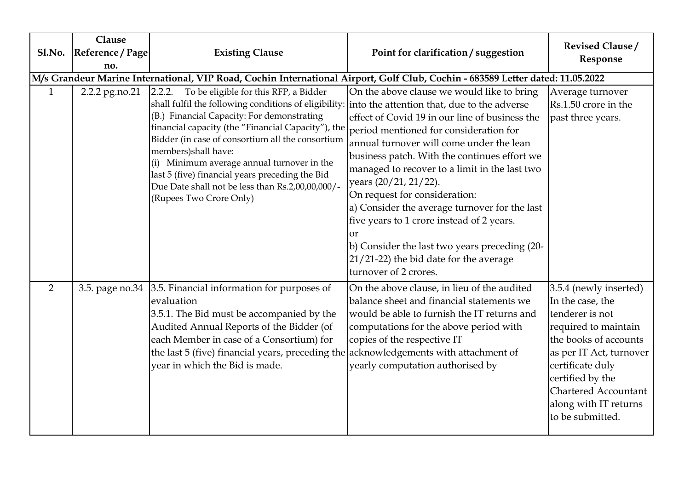| Sl.No.         | Clause<br>Reference / Page<br>no. | <b>Existing Clause</b>                                                                                                                                                                                                                                                                                                                                                                                                                                                                                              | Point for clarification / suggestion                                                                                                                                                                                                                                                                                                                                                                                                                                                                                                                                  | <b>Revised Clause/</b><br>Response                                                                                                                                                                                                                            |
|----------------|-----------------------------------|---------------------------------------------------------------------------------------------------------------------------------------------------------------------------------------------------------------------------------------------------------------------------------------------------------------------------------------------------------------------------------------------------------------------------------------------------------------------------------------------------------------------|-----------------------------------------------------------------------------------------------------------------------------------------------------------------------------------------------------------------------------------------------------------------------------------------------------------------------------------------------------------------------------------------------------------------------------------------------------------------------------------------------------------------------------------------------------------------------|---------------------------------------------------------------------------------------------------------------------------------------------------------------------------------------------------------------------------------------------------------------|
|                |                                   |                                                                                                                                                                                                                                                                                                                                                                                                                                                                                                                     | M/s Grandeur Marine International, VIP Road, Cochin International Airport, Golf Club, Cochin - 683589 Letter dated: 11.05.2022                                                                                                                                                                                                                                                                                                                                                                                                                                        |                                                                                                                                                                                                                                                               |
| 1              | 2.2.2 pg.no.21                    | 2.2.2.<br>To be eligible for this RFP, a Bidder<br>shall fulfil the following conditions of eligibility: into the attention that, due to the adverse<br>(B.) Financial Capacity: For demonstrating<br>financial capacity (the "Financial Capacity"), the<br>Bidder (in case of consortium all the consortium<br>members)shall have:<br>(i) Minimum average annual turnover in the<br>last 5 (five) financial years preceding the Bid<br>Due Date shall not be less than Rs.2,00,00,000/-<br>(Rupees Two Crore Only) | On the above clause we would like to bring<br>effect of Covid 19 in our line of business the<br>period mentioned for consideration for<br>annual turnover will come under the lean<br>business patch. With the continues effort we<br>managed to recover to a limit in the last two<br>years (20/21, 21/22).<br>On request for consideration:<br>a) Consider the average turnover for the last<br>five years to 1 crore instead of 2 years.<br>or<br>b) Consider the last two years preceding (20-<br>21/21-22) the bid date for the average<br>turnover of 2 crores. | Average turnover<br>Rs.1.50 crore in the<br>past three years.                                                                                                                                                                                                 |
| $\overline{2}$ |                                   | 3.5. page no.34 3.5. Financial information for purposes of<br>evaluation<br>3.5.1. The Bid must be accompanied by the<br>Audited Annual Reports of the Bidder (of<br>each Member in case of a Consortium) for<br>the last 5 (five) financial years, preceding the $\alpha$ acknowledgements with attachment of<br>year in which the Bid is made.                                                                                                                                                                    | On the above clause, in lieu of the audited<br>balance sheet and financial statements we<br>would be able to furnish the IT returns and<br>computations for the above period with<br>copies of the respective IT<br>yearly computation authorised by                                                                                                                                                                                                                                                                                                                  | 3.5.4 (newly inserted)<br>In the case, the<br>tenderer is not<br>required to maintain<br>the books of accounts<br>as per IT Act, turnover<br>certificate duly<br>certified by the<br><b>Chartered Accountant</b><br>along with IT returns<br>to be submitted. |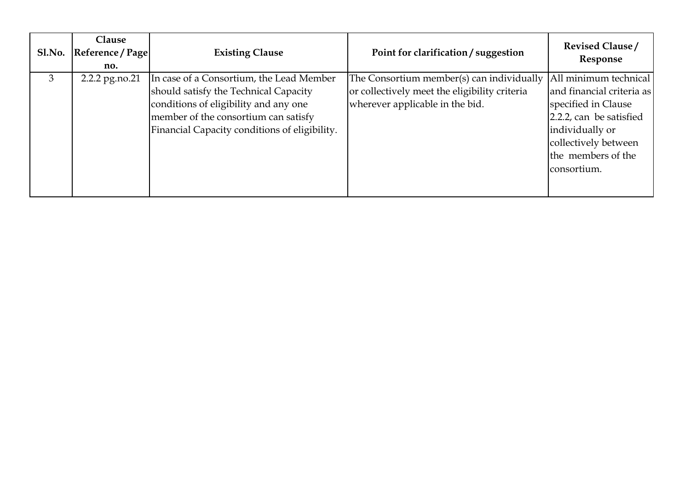| Sl.No. | <b>Clause</b><br>Reference / Page<br>no. | <b>Existing Clause</b>                                                                                                                                                                                              | Point for clarification / suggestion                                                                                              | <b>Revised Clause/</b><br>Response                                                                                                                                                   |
|--------|------------------------------------------|---------------------------------------------------------------------------------------------------------------------------------------------------------------------------------------------------------------------|-----------------------------------------------------------------------------------------------------------------------------------|--------------------------------------------------------------------------------------------------------------------------------------------------------------------------------------|
| 3      | 2.2.2 pg.no.21                           | In case of a Consortium, the Lead Member<br>should satisfy the Technical Capacity<br>conditions of eligibility and any one<br>member of the consortium can satisfy<br>Financial Capacity conditions of eligibility. | The Consortium member(s) can individually $ $<br>or collectively meet the eligibility criteria<br>wherever applicable in the bid. | All minimum technical<br>and financial criteria as<br>specified in Clause<br>2.2.2, can be satisfied<br>individually or<br>collectively between<br>the members of the<br>consortium. |